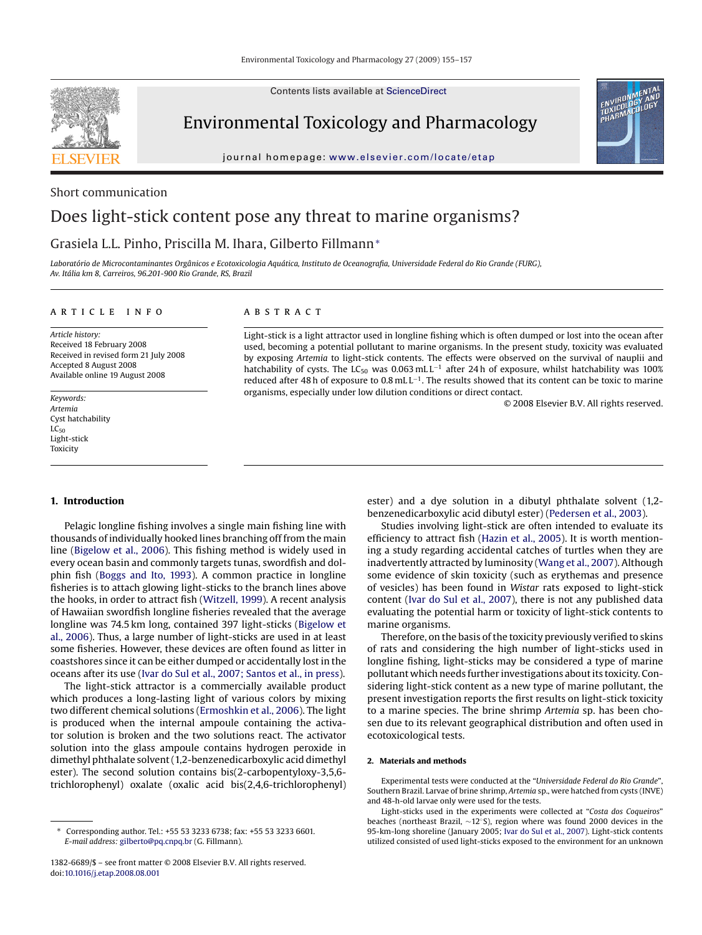Contents lists available at [ScienceDirect](http://www.sciencedirect.com/science/journal/13826689)

Environmental Toxicology and Pharmacology

journal homepage: [www.elsevier.com/locate/etap](http://www.elsevier.com/locate/etap)

# Short communication

# Does light-stick content pose any threat to marine organisms?

# Grasiela L.L. Pinho, Priscilla M. Ihara, Gilberto Fillmann<sup>∗</sup>

*Laboratório de Microcontaminantes Orgânicos e Ecotoxicologia Aquática, Instituto de Oceanografia, Universidade Federal do Rio Grande (FURG), Av. Itália km 8, Carreiros, 96.201-900 Rio Grande, RS, Brazil*

# article info

*Article history:* Received 18 February 2008 Received in revised form 21 July 2008 Accepted 8 August 2008 Available online 19 August 2008

*Keywords: Artemia* Cyst hatchability  $LC_{50}$ Light-stick Toxicity

# **1. Introduction**

Pelagic longline fishing involves a single main fishing line with thousands of individually hooked lines branching off from the main line [\(Bigelow et al., 2006\).](#page-2-0) This fishing method is widely used in every ocean basin and commonly targets tunas, swordfish and dolphin fish [\(Boggs and Ito, 1993\).](#page-2-0) A common practice in longline fisheries is to attach glowing light-sticks to the branch lines above the hooks, in order to attract fish [\(Witzell, 1999\).](#page-2-0) A recent analysis of Hawaiian swordfish longline fisheries revealed that the average longline was 74.5 km long, contained 397 light-sticks [\(Bigelow et](#page-2-0) [al., 2006\).](#page-2-0) Thus, a large number of light-sticks are used in at least some fisheries. However, these devices are often found as litter in coastshores since it can be either dumped or accidentally lost in the oceans after its use [\(Ivar do Sul et al., 2007; Santos et al., in press\).](#page-2-0)

The light-stick attractor is a commercially available product which produces a long-lasting light of various colors by mixing two different chemical solutions ([Ermoshkin et al., 2006\).](#page-2-0) The light is produced when the internal ampoule containing the activator solution is broken and the two solutions react. The activator solution into the glass ampoule contains hydrogen peroxide in dimethyl phthalate solvent (1,2-benzenedicarboxylic acid dimethyl ester). The second solution contains bis(2-carbopentyloxy-3,5,6 trichlorophenyl) oxalate (oxalic acid bis(2,4,6-trichlorophenyl)

# A B S T R A C T

Light-stick is a light attractor used in longline fishing which is often dumped or lost into the ocean after used, becoming a potential pollutant to marine organisms. In the present study, toxicity was evaluated by exposing *Artemia* to light-stick contents. The effects were observed on the survival of nauplii and hatchability of cysts. The LC<sub>50</sub> was 0.063 mLL<sup>-1</sup> after 24h of exposure, whilst hatchability was 100% reduced after 48 h of exposure to 0.8 mLL<sup>-1</sup>. The results showed that its content can be toxic to marine organisms, especially under low dilution conditions or direct contact.

© 2008 Elsevier B.V. All rights reserved.

ester) and a dye solution in a dibutyl phthalate solvent (1,2 benzenedicarboxylic acid dibutyl ester) [\(Pedersen et al., 2003\).](#page-2-0)

Studies involving light-stick are often intended to evaluate its efficiency to attract fish ([Hazin et al., 2005\).](#page-2-0) It is worth mentioning a study regarding accidental catches of turtles when they are inadvertently attracted by luminosity [\(Wang et al., 2007\).](#page-2-0) Although some evidence of skin toxicity (such as erythemas and presence of vesicles) has been found in *Wistar* rats exposed to light-stick content ([Ivar do Sul et al., 2007\),](#page-2-0) there is not any published data evaluating the potential harm or toxicity of light-stick contents to marine organisms.

Therefore, on the basis of the toxicity previously verified to skins of rats and considering the high number of light-sticks used in longline fishing, light-sticks may be considered a type of marine pollutant which needs further investigations about its toxicity. Considering light-stick content as a new type of marine pollutant, the present investigation reports the first results on light-stick toxicity to a marine species. The brine shrimp *Artemia* sp. has been chosen due to its relevant geographical distribution and often used in ecotoxicological tests.

# **2. Materials and methods**

Experimental tests were conducted at the "*Universidade Federal do Rio Grande*", Southern Brazil. Larvae of brine shrimp, *Artemia* sp., were hatched from cysts (INVE) and 48-h-old larvae only were used for the tests.

Light-sticks used in the experiments were collected at "*Costa dos Coqueiros*" beaches (northeast Brazil, ∼12◦S), region where was found 2000 devices in the 95-km-long shoreline (January 2005; [Ivar do Sul et al., 2007\).](#page-2-0) Light-stick contents utilized consisted of used light-sticks exposed to the environment for an unknown

<sup>∗</sup> Corresponding author. Tel.: +55 53 3233 6738; fax: +55 53 3233 6601. *E-mail address:* [gilberto@pq.cnpq.br](mailto:gilberto@pq.cnpq.br) (G. Fillmann).

<sup>1382-6689/\$ –</sup> see front matter © 2008 Elsevier B.V. All rights reserved. doi:[10.1016/j.etap.2008.08.001](dx.doi.org/10.1016/j.etap.2008.08.001)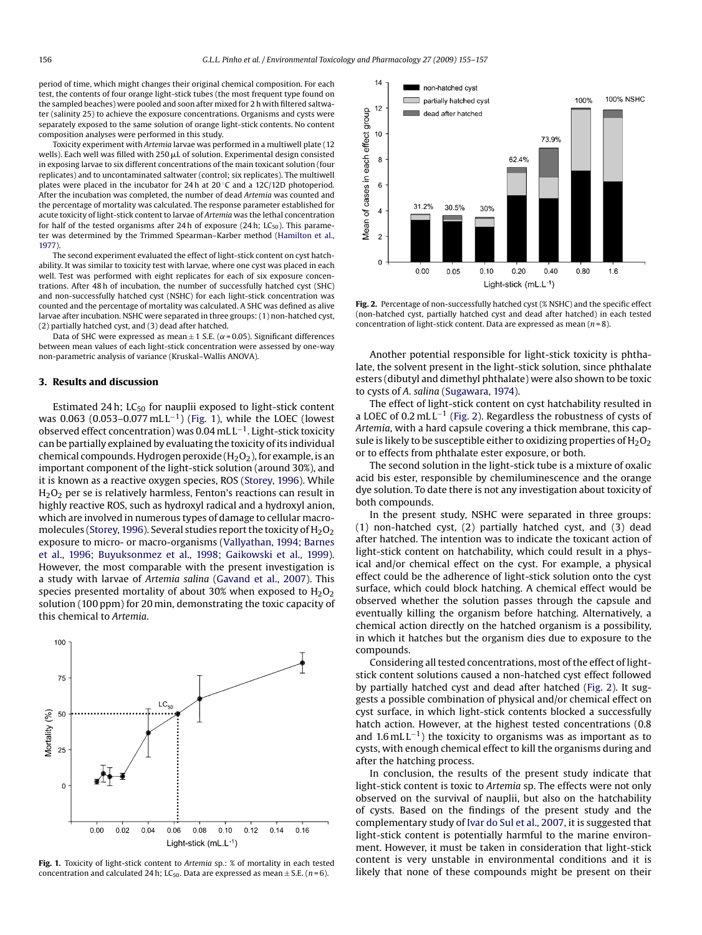period of time, which might changes their original chemical composition. For each test, the contents of four orange light-stick tubes (the most frequent type found on the sampled beaches) were pooled and soon after mixed for 2 h with filtered saltwater (salinity 25) to achieve the exposure concentrations. Organisms and cysts were separately exposed to the same solution of orange light-stick contents. No content composition analyses were performed in this study.

Toxicity experiment with *Artemia* larvae was performed in a multiwell plate (12 wells). Each well was filled with  $250 \mu L$  of solution. Experimental design consisted in exposing larvae to six different concentrations of the main toxicant solution (four replicates) and to uncontaminated saltwater (control; six replicates). The multiwell plates were placed in the incubator for 24 h at  $20 °C$  and a 12C/12D photoperiod. After the incubation was completed, the number of dead *Artemia* was counted and the percentage of mortality was calculated. The response parameter established for acute toxicity of light-stick content to larvae of *Artemia* was the lethal concentration for half of the tested organisms after 24h of exposure (24h;  $LC_{50}$ ). This parameter was determined by the Trimmed Spearman–Karber method ([Hamilton et al.,](#page-2-0) [1977\).](#page-2-0)

The second experiment evaluated the effect of light-stick content on cyst hatchability. It was similar to toxicity test with larvae, where one cyst was placed in each well. Test was performed with eight replicates for each of six exposure concentrations. After 48 h of incubation, the number of successfully hatched cyst (SHC) and non-successfully hatched cyst (NSHC) for each light-stick concentration was counted and the percentage of mortality was calculated. A SHC was defined as alive larvae after incubation. NSHC were separated in three groups: (1) non-hatched cyst, (2) partially hatched cyst, and (3) dead after hatched.

Data of SHC were expressed as mean  $\pm$  1 S.E. ( $\alpha$  = 0.05). Significant differences between mean values of each light-stick concentration were assessed by one-way non-parametric analysis of variance (Kruskal–Wallis ANOVA).

### **3. Results and discussion**

Estimated 24 h;  $LC_{50}$  for nauplii exposed to light-stick content was 0.063 (0.053–0.077 mLL<sup>-1</sup>) (Fig. 1), while the LOEC (lowest observed effect concentration) was 0.04 mL L−1. Light-stick toxicity can be partially explained by evaluating the toxicity of its individual chemical compounds. Hydrogen peroxide  $(H_2O_2)$ , for example, is an important component of the light-stick solution (around 30%), and it is known as a reactive oxygen species, ROS ([Storey, 1996\).](#page-2-0) While  $H_2O_2$  per se is relatively harmless, Fenton's reactions can result in highly reactive ROS, such as hydroxyl radical and a hydroxyl anion, which are involved in numerous types of damage to cellular macro-molecules [\(Storey, 1996\).](#page-2-0) Several studies report the toxicity of  $H_2O_2$ exposure to micro- or macro-organisms ([Vallyathan, 1994; Barnes](#page-2-0) [et al., 1996; Buyuksonmez et al., 1998; Gaikowski et al., 1999\).](#page-2-0) However, the most comparable with the present investigation is a study with larvae of *Artemia salina* ([Gavand et al., 2007\).](#page-2-0) This species presented mortality of about 30% when exposed to  $H_2O_2$ solution (100 ppm) for 20 min, demonstrating the toxic capacity of this chemical to *Artemia*.



**Fig. 1.** Toxicity of light-stick content to *Artemia* sp.: % of mortality in each tested concentration and calculated 24 h; LC<sub>50</sub>. Data are expressed as mean  $\pm$  S.E. (*n* = 6).



**Fig. 2.** Percentage of non-successfully hatched cyst (% NSHC) and the specific effect (non-hatched cyst, partially hatched cyst and dead after hatched) in each tested concentration of light-stick content. Data are expressed as mean (*n* = 8).

Another potential responsible for light-stick toxicity is phthalate, the solvent present in the light-stick solution, since phthalate esters (dibutyl and dimethyl phthalate) were also shown to be toxic to cysts of *A. salina* [\(Sugawara, 1974\).](#page-2-0)

The effect of light-stick content on cyst hatchability resulted in a LOEC of 0.2 mL L−<sup>1</sup> (Fig. 2). Regardless the robustness of cysts of *Artemia*, with a hard capsule covering a thick membrane, this capsule is likely to be susceptible either to oxidizing properties of  $H_2O_2$ or to effects from phthalate ester exposure, or both.

The second solution in the light-stick tube is a mixture of oxalic acid bis ester, responsible by chemiluminescence and the orange dye solution. To date there is not any investigation about toxicity of both compounds.

In the present study, NSHC were separated in three groups: (1) non-hatched cyst, (2) partially hatched cyst, and (3) dead after hatched. The intention was to indicate the toxicant action of light-stick content on hatchability, which could result in a physical and/or chemical effect on the cyst. For example, a physical effect could be the adherence of light-stick solution onto the cyst surface, which could block hatching. A chemical effect would be observed whether the solution passes through the capsule and eventually killing the organism before hatching. Alternatively, a chemical action directly on the hatched organism is a possibility, in which it hatches but the organism dies due to exposure to the compounds.

Considering all tested concentrations, most of the effect of lightstick content solutions caused a non-hatched cyst effect followed by partially hatched cyst and dead after hatched (Fig. 2). It suggests a possible combination of physical and/or chemical effect on cyst surface, in which light-stick contents blocked a successfully hatch action. However, at the highest tested concentrations (0.8 and  $1.6 \text{ mL L}^{-1}$ ) the toxicity to organisms was as important as to cysts, with enough chemical effect to kill the organisms during and after the hatching process.

In conclusion, the results of the present study indicate that light-stick content is toxic to *Artemia* sp. The effects were not only observed on the survival of nauplii, but also on the hatchability of cysts. Based on the findings of the present study and the complementary study of [Ivar do Sul et al., 2007, i](#page-2-0)t is suggested that light-stick content is potentially harmful to the marine environment. However, it must be taken in consideration that light-stick content is very unstable in environmental conditions and it is likely that none of these compounds might be present on their